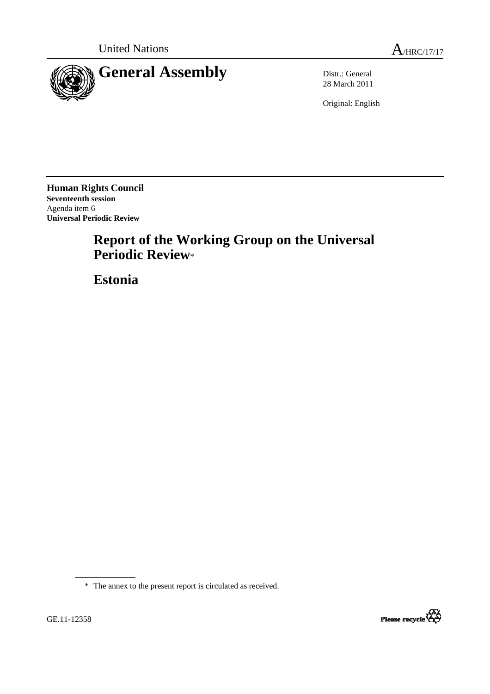



28 March 2011

Original: English

**Human Rights Council Seventeenth session**  Agenda item 6 **Universal Periodic Review** 

# **Report of the Working Group on the Universal Periodic Review**\*

 **Estonia**

\* The annex to the present report is circulated as received.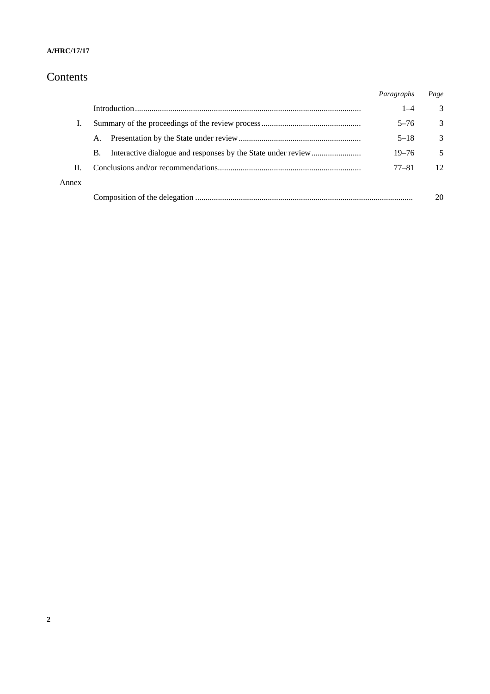#### **A/HRC/17/17**

# Contents

|       |    | Paragraphs | Page |
|-------|----|------------|------|
|       |    | $1 - 4$    | 3    |
|       |    | $5 - 76$   | 3    |
|       | А. | $5 - 18$   | 3    |
|       | B. | $19 - 76$  | 5    |
| П.    |    | $77 - 81$  | 12   |
| Annex |    |            |      |
|       |    |            | 20   |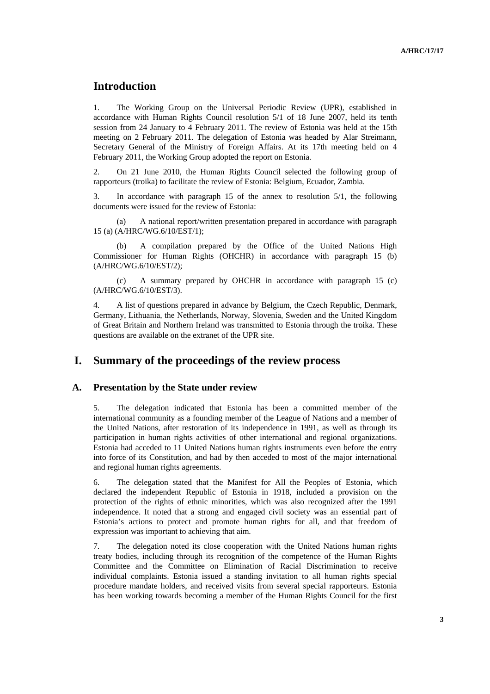# **Introduction**

1. The Working Group on the Universal Periodic Review (UPR), established in accordance with Human Rights Council resolution 5/1 of 18 June 2007, held its tenth session from 24 January to 4 February 2011. The review of Estonia was held at the 15th meeting on 2 February 2011. The delegation of Estonia was headed by Alar Streimann, Secretary General of the Ministry of Foreign Affairs. At its 17th meeting held on 4 February 2011, the Working Group adopted the report on Estonia.

2. On 21 June 2010, the Human Rights Council selected the following group of rapporteurs (troika) to facilitate the review of Estonia: Belgium, Ecuador, Zambia.

3. In accordance with paragraph 15 of the annex to resolution 5/1, the following documents were issued for the review of Estonia:

 (a) A national report/written presentation prepared in accordance with paragraph 15 (a) (A/HRC/WG.6/10/EST/1);

 (b) A compilation prepared by the Office of the United Nations High Commissioner for Human Rights (OHCHR) in accordance with paragraph 15 (b) (A/HRC/WG.6/10/EST/2);

 (c) A summary prepared by OHCHR in accordance with paragraph 15 (c) (A/HRC/WG.6/10/EST/3).

4. A list of questions prepared in advance by Belgium, the Czech Republic, Denmark, Germany, Lithuania, the Netherlands, Norway, Slovenia, Sweden and the United Kingdom of Great Britain and Northern Ireland was transmitted to Estonia through the troika. These questions are available on the extranet of the UPR site.

### **I. Summary of the proceedings of the review process**

#### **A. Presentation by the State under review**

5. The delegation indicated that Estonia has been a committed member of the international community as a founding member of the League of Nations and a member of the United Nations, after restoration of its independence in 1991, as well as through its participation in human rights activities of other international and regional organizations. Estonia had acceded to 11 United Nations human rights instruments even before the entry into force of its Constitution, and had by then acceded to most of the major international and regional human rights agreements.

6. The delegation stated that the Manifest for All the Peoples of Estonia, which declared the independent Republic of Estonia in 1918, included a provision on the protection of the rights of ethnic minorities, which was also recognized after the 1991 independence. It noted that a strong and engaged civil society was an essential part of Estonia's actions to protect and promote human rights for all, and that freedom of expression was important to achieving that aim.

7. The delegation noted its close cooperation with the United Nations human rights treaty bodies, including through its recognition of the competence of the Human Rights Committee and the Committee on Elimination of Racial Discrimination to receive individual complaints. Estonia issued a standing invitation to all human rights special procedure mandate holders, and received visits from several special rapporteurs. Estonia has been working towards becoming a member of the Human Rights Council for the first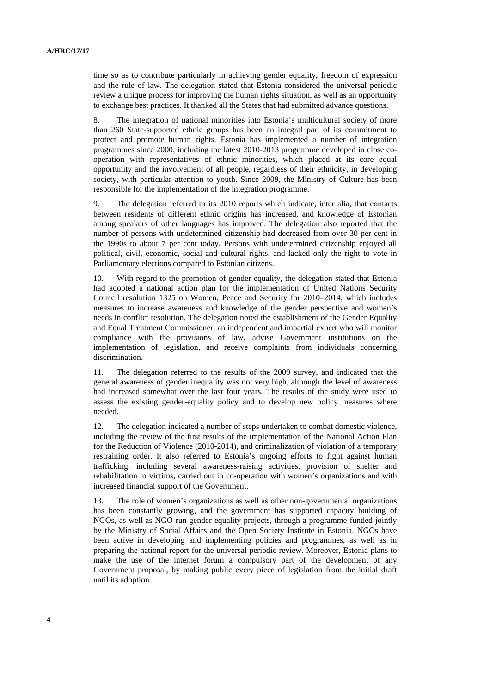time so as to contribute particularly in achieving gender equality, freedom of expression and the rule of law. The delegation stated that Estonia considered the universal periodic review a unique process for improving the human rights situation, as well as an opportunity to exchange best practices. It thanked all the States that had submitted advance questions.

8. The integration of national minorities into Estonia's multicultural society of more than 260 State-supported ethnic groups has been an integral part of its commitment to protect and promote human rights. Estonia has implemented a number of integration programmes since 2000, including the latest 2010-2013 programme developed in close cooperation with representatives of ethnic minorities, which placed at its core equal opportunity and the involvement of all people, regardless of their ethnicity, in developing society, with particular attention to youth. Since 2009, the Ministry of Culture has been responsible for the implementation of the integration programme.

9. The delegation referred to its 2010 reports which indicate, inter alia, that contacts between residents of different ethnic origins has increased, and knowledge of Estonian among speakers of other languages has improved. The delegation also reported that the number of persons with undetermined citizenship had decreased from over 30 per cent in the 1990s to about 7 per cent today. Persons with undetermined citizenship enjoyed all political, civil, economic, social and cultural rights, and lacked only the right to vote in Parliamentary elections compared to Estonian citizens.

10. With regard to the promotion of gender equality, the delegation stated that Estonia had adopted a national action plan for the implementation of United Nations Security Council resolution 1325 on Women, Peace and Security for 2010–2014, which includes measures to increase awareness and knowledge of the gender perspective and women's needs in conflict resolution. The delegation noted the establishment of the Gender Equality and Equal Treatment Commissioner, an independent and impartial expert who will monitor compliance with the provisions of law, advise Government institutions on the implementation of legislation, and receive complaints from individuals concerning discrimination.

11. The delegation referred to the results of the 2009 survey, and indicated that the general awareness of gender inequality was not very high, although the level of awareness had increased somewhat over the last four years. The results of the study were used to assess the existing gender-equality policy and to develop new policy measures where needed.

12. The delegation indicated a number of steps undertaken to combat domestic violence, including the review of the first results of the implementation of the National Action Plan for the Reduction of Violence (2010-2014), and criminalization of violation of a temporary restraining order. It also referred to Estonia's ongoing efforts to fight against human trafficking, including several awareness-raising activities, provision of shelter and rehabilitation to victims, carried out in co-operation with women's organizations and with increased financial support of the Government.

13. The role of women's organizations as well as other non-governmental organizations has been constantly growing, and the government has supported capacity building of NGOs, as well as NGO-run gender-equality projects, through a programme funded jointly by the Ministry of Social Affairs and the Open Society Institute in Estonia. NGOs have been active in developing and implementing policies and programmes, as well as in preparing the national report for the universal periodic review. Moreover, Estonia plans to make the use of the internet forum a compulsory part of the development of any Government proposal, by making public every piece of legislation from the initial draft until its adoption.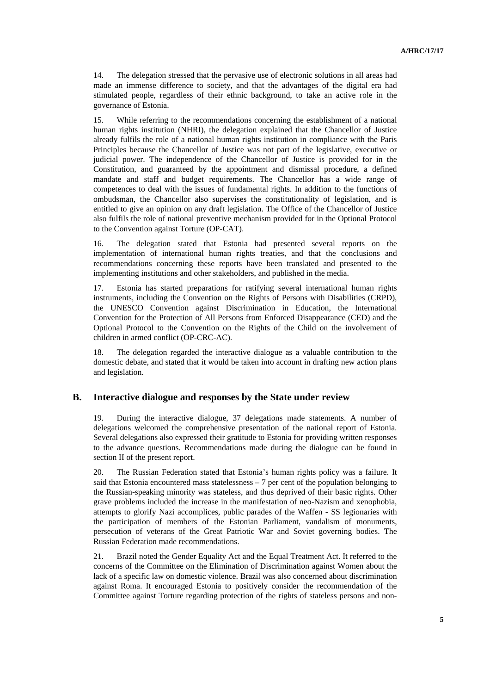14. The delegation stressed that the pervasive use of electronic solutions in all areas had made an immense difference to society, and that the advantages of the digital era had stimulated people, regardless of their ethnic background, to take an active role in the governance of Estonia.

15. While referring to the recommendations concerning the establishment of a national human rights institution (NHRI), the delegation explained that the Chancellor of Justice already fulfils the role of a national human rights institution in compliance with the Paris Principles because the Chancellor of Justice was not part of the legislative, executive or judicial power. The independence of the Chancellor of Justice is provided for in the Constitution, and guaranteed by the appointment and dismissal procedure, a defined mandate and staff and budget requirements. The Chancellor has a wide range of competences to deal with the issues of fundamental rights. In addition to the functions of ombudsman, the Chancellor also supervises the constitutionality of legislation, and is entitled to give an opinion on any draft legislation. The Office of the Chancellor of Justice also fulfils the role of national preventive mechanism provided for in the Optional Protocol to the Convention against Torture (OP-CAT).

16. The delegation stated that Estonia had presented several reports on the implementation of international human rights treaties, and that the conclusions and recommendations concerning these reports have been translated and presented to the implementing institutions and other stakeholders, and published in the media.

17. Estonia has started preparations for ratifying several international human rights instruments, including the Convention on the Rights of Persons with Disabilities (CRPD), the UNESCO Convention against Discrimination in Education, the International Convention for the Protection of All Persons from Enforced Disappearance (CED) and the Optional Protocol to the Convention on the Rights of the Child on the involvement of children in armed conflict (OP-CRC-AC).

18. The delegation regarded the interactive dialogue as a valuable contribution to the domestic debate, and stated that it would be taken into account in drafting new action plans and legislation.

#### **B. Interactive dialogue and responses by the State under review**

19. During the interactive dialogue, 37 delegations made statements. A number of delegations welcomed the comprehensive presentation of the national report of Estonia. Several delegations also expressed their gratitude to Estonia for providing written responses to the advance questions. Recommendations made during the dialogue can be found in section II of the present report.

20. The Russian Federation stated that Estonia's human rights policy was a failure. It said that Estonia encountered mass statelessness  $-7$  per cent of the population belonging to the Russian-speaking minority was stateless, and thus deprived of their basic rights. Other grave problems included the increase in the manifestation of neo-Nazism and xenophobia, attempts to glorify Nazi accomplices, public parades of the Waffen - SS legionaries with the participation of members of the Estonian Parliament, vandalism of monuments, persecution of veterans of the Great Patriotic War and Soviet governing bodies. The Russian Federation made recommendations.

21. Brazil noted the Gender Equality Act and the Equal Treatment Act. It referred to the concerns of the Committee on the Elimination of Discrimination against Women about the lack of a specific law on domestic violence. Brazil was also concerned about discrimination against Roma. It encouraged Estonia to positively consider the recommendation of the Committee against Torture regarding protection of the rights of stateless persons and non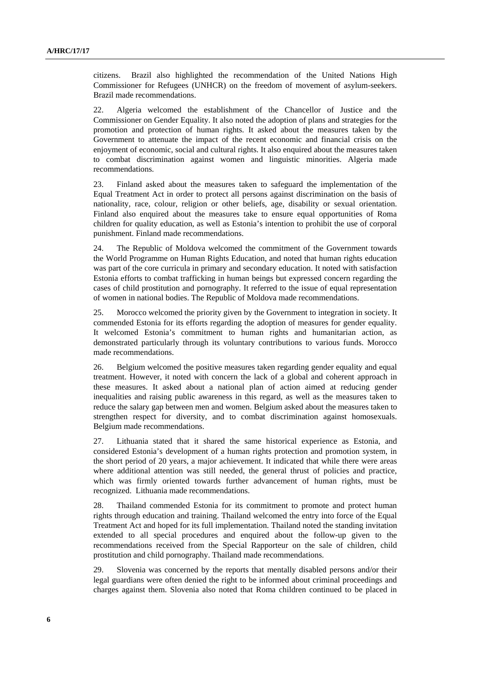citizens. Brazil also highlighted the recommendation of the United Nations High Commissioner for Refugees (UNHCR) on the freedom of movement of asylum-seekers. Brazil made recommendations.

22. Algeria welcomed the establishment of the Chancellor of Justice and the Commissioner on Gender Equality. It also noted the adoption of plans and strategies for the promotion and protection of human rights. It asked about the measures taken by the Government to attenuate the impact of the recent economic and financial crisis on the enjoyment of economic, social and cultural rights. It also enquired about the measures taken to combat discrimination against women and linguistic minorities. Algeria made recommendations.

23. Finland asked about the measures taken to safeguard the implementation of the Equal Treatment Act in order to protect all persons against discrimination on the basis of nationality, race, colour, religion or other beliefs, age, disability or sexual orientation. Finland also enquired about the measures take to ensure equal opportunities of Roma children for quality education, as well as Estonia's intention to prohibit the use of corporal punishment. Finland made recommendations.

24. The Republic of Moldova welcomed the commitment of the Government towards the World Programme on Human Rights Education, and noted that human rights education was part of the core curricula in primary and secondary education. It noted with satisfaction Estonia efforts to combat trafficking in human beings but expressed concern regarding the cases of child prostitution and pornography. It referred to the issue of equal representation of women in national bodies. The Republic of Moldova made recommendations.

25. Morocco welcomed the priority given by the Government to integration in society. It commended Estonia for its efforts regarding the adoption of measures for gender equality. It welcomed Estonia's commitment to human rights and humanitarian action, as demonstrated particularly through its voluntary contributions to various funds. Morocco made recommendations.

26. Belgium welcomed the positive measures taken regarding gender equality and equal treatment. However, it noted with concern the lack of a global and coherent approach in these measures. It asked about a national plan of action aimed at reducing gender inequalities and raising public awareness in this regard, as well as the measures taken to reduce the salary gap between men and women. Belgium asked about the measures taken to strengthen respect for diversity, and to combat discrimination against homosexuals. Belgium made recommendations.

27. Lithuania stated that it shared the same historical experience as Estonia, and considered Estonia's development of a human rights protection and promotion system, in the short period of 20 years, a major achievement. It indicated that while there were areas where additional attention was still needed, the general thrust of policies and practice, which was firmly oriented towards further advancement of human rights, must be recognized. Lithuania made recommendations.

28. Thailand commended Estonia for its commitment to promote and protect human rights through education and training. Thailand welcomed the entry into force of the Equal Treatment Act and hoped for its full implementation. Thailand noted the standing invitation extended to all special procedures and enquired about the follow-up given to the recommendations received from the Special Rapporteur on the sale of children, child prostitution and child pornography. Thailand made recommendations.

29. Slovenia was concerned by the reports that mentally disabled persons and/or their legal guardians were often denied the right to be informed about criminal proceedings and charges against them. Slovenia also noted that Roma children continued to be placed in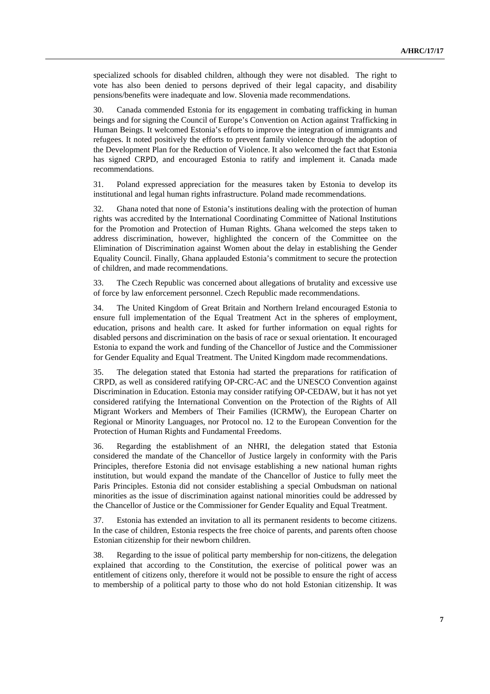specialized schools for disabled children, although they were not disabled. The right to vote has also been denied to persons deprived of their legal capacity, and disability pensions/benefits were inadequate and low. Slovenia made recommendations.

30. Canada commended Estonia for its engagement in combating trafficking in human beings and for signing the Council of Europe's Convention on Action against Trafficking in Human Beings. It welcomed Estonia's efforts to improve the integration of immigrants and refugees. It noted positively the efforts to prevent family violence through the adoption of the Development Plan for the Reduction of Violence. It also welcomed the fact that Estonia has signed CRPD, and encouraged Estonia to ratify and implement it. Canada made recommendations.

31. Poland expressed appreciation for the measures taken by Estonia to develop its institutional and legal human rights infrastructure. Poland made recommendations.

32. Ghana noted that none of Estonia's institutions dealing with the protection of human rights was accredited by the International Coordinating Committee of National Institutions for the Promotion and Protection of Human Rights. Ghana welcomed the steps taken to address discrimination, however, highlighted the concern of the Committee on the Elimination of Discrimination against Women about the delay in establishing the Gender Equality Council. Finally, Ghana applauded Estonia's commitment to secure the protection of children, and made recommendations.

33. The Czech Republic was concerned about allegations of brutality and excessive use of force by law enforcement personnel. Czech Republic made recommendations.

34. The United Kingdom of Great Britain and Northern Ireland encouraged Estonia to ensure full implementation of the Equal Treatment Act in the spheres of employment, education, prisons and health care. It asked for further information on equal rights for disabled persons and discrimination on the basis of race or sexual orientation. It encouraged Estonia to expand the work and funding of the Chancellor of Justice and the Commissioner for Gender Equality and Equal Treatment. The United Kingdom made recommendations.

35. The delegation stated that Estonia had started the preparations for ratification of CRPD, as well as considered ratifying OP-CRC-AC and the UNESCO Convention against Discrimination in Education. Estonia may consider ratifying OP-CEDAW, but it has not yet considered ratifying the International Convention on the Protection of the Rights of All Migrant Workers and Members of Their Families (ICRMW), the European Charter on Regional or Minority Languages, nor Protocol no. 12 to the European Convention for the Protection of Human Rights and Fundamental Freedoms.

36. Regarding the establishment of an NHRI, the delegation stated that Estonia considered the mandate of the Chancellor of Justice largely in conformity with the Paris Principles, therefore Estonia did not envisage establishing a new national human rights institution, but would expand the mandate of the Chancellor of Justice to fully meet the Paris Principles. Estonia did not consider establishing a special Ombudsman on national minorities as the issue of discrimination against national minorities could be addressed by the Chancellor of Justice or the Commissioner for Gender Equality and Equal Treatment.

37. Estonia has extended an invitation to all its permanent residents to become citizens. In the case of children, Estonia respects the free choice of parents, and parents often choose Estonian citizenship for their newborn children.

38. Regarding to the issue of political party membership for non-citizens, the delegation explained that according to the Constitution, the exercise of political power was an entitlement of citizens only, therefore it would not be possible to ensure the right of access to membership of a political party to those who do not hold Estonian citizenship. It was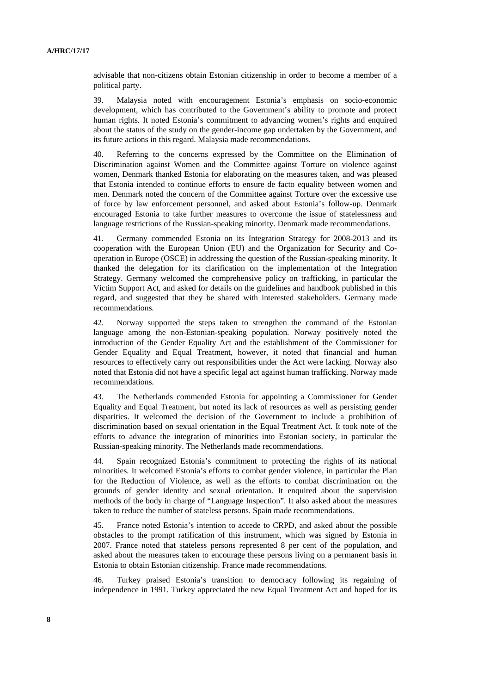advisable that non-citizens obtain Estonian citizenship in order to become a member of a political party.

39. Malaysia noted with encouragement Estonia's emphasis on socio-economic development, which has contributed to the Government's ability to promote and protect human rights. It noted Estonia's commitment to advancing women's rights and enquired about the status of the study on the gender-income gap undertaken by the Government, and its future actions in this regard. Malaysia made recommendations.

40. Referring to the concerns expressed by the Committee on the Elimination of Discrimination against Women and the Committee against Torture on violence against women, Denmark thanked Estonia for elaborating on the measures taken, and was pleased that Estonia intended to continue efforts to ensure de facto equality between women and men. Denmark noted the concern of the Committee against Torture over the excessive use of force by law enforcement personnel, and asked about Estonia's follow-up. Denmark encouraged Estonia to take further measures to overcome the issue of statelessness and language restrictions of the Russian-speaking minority. Denmark made recommendations.

41. Germany commended Estonia on its Integration Strategy for 2008-2013 and its cooperation with the European Union (EU) and the Organization for Security and Cooperation in Europe (OSCE) in addressing the question of the Russian-speaking minority. It thanked the delegation for its clarification on the implementation of the Integration Strategy. Germany welcomed the comprehensive policy on trafficking, in particular the Victim Support Act, and asked for details on the guidelines and handbook published in this regard, and suggested that they be shared with interested stakeholders. Germany made recommendations.

42. Norway supported the steps taken to strengthen the command of the Estonian language among the non-Estonian-speaking population. Norway positively noted the introduction of the Gender Equality Act and the establishment of the Commissioner for Gender Equality and Equal Treatment, however, it noted that financial and human resources to effectively carry out responsibilities under the Act were lacking. Norway also noted that Estonia did not have a specific legal act against human trafficking. Norway made recommendations.

43. The Netherlands commended Estonia for appointing a Commissioner for Gender Equality and Equal Treatment, but noted its lack of resources as well as persisting gender disparities. It welcomed the decision of the Government to include a prohibition of discrimination based on sexual orientation in the Equal Treatment Act. It took note of the efforts to advance the integration of minorities into Estonian society, in particular the Russian-speaking minority. The Netherlands made recommendations.

44. Spain recognized Estonia's commitment to protecting the rights of its national minorities. It welcomed Estonia's efforts to combat gender violence, in particular the Plan for the Reduction of Violence, as well as the efforts to combat discrimination on the grounds of gender identity and sexual orientation. It enquired about the supervision methods of the body in charge of "Language Inspection". It also asked about the measures taken to reduce the number of stateless persons. Spain made recommendations.

45. France noted Estonia's intention to accede to CRPD, and asked about the possible obstacles to the prompt ratification of this instrument, which was signed by Estonia in 2007. France noted that stateless persons represented 8 per cent of the population, and asked about the measures taken to encourage these persons living on a permanent basis in Estonia to obtain Estonian citizenship. France made recommendations.

46. Turkey praised Estonia's transition to democracy following its regaining of independence in 1991. Turkey appreciated the new Equal Treatment Act and hoped for its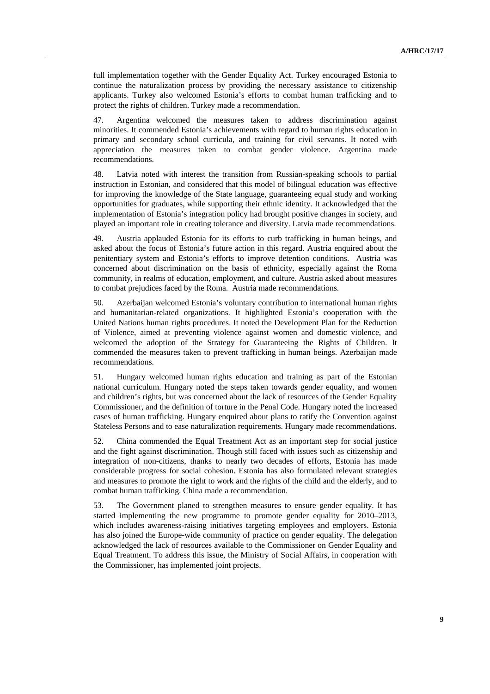full implementation together with the Gender Equality Act. Turkey encouraged Estonia to continue the naturalization process by providing the necessary assistance to citizenship applicants. Turkey also welcomed Estonia's efforts to combat human trafficking and to protect the rights of children. Turkey made a recommendation.

47. Argentina welcomed the measures taken to address discrimination against minorities. It commended Estonia's achievements with regard to human rights education in primary and secondary school curricula, and training for civil servants. It noted with appreciation the measures taken to combat gender violence. Argentina made recommendations.

48. Latvia noted with interest the transition from Russian-speaking schools to partial instruction in Estonian, and considered that this model of bilingual education was effective for improving the knowledge of the State language, guaranteeing equal study and working opportunities for graduates, while supporting their ethnic identity. It acknowledged that the implementation of Estonia's integration policy had brought positive changes in society, and played an important role in creating tolerance and diversity. Latvia made recommendations.

49. Austria applauded Estonia for its efforts to curb trafficking in human beings, and asked about the focus of Estonia's future action in this regard. Austria enquired about the penitentiary system and Estonia's efforts to improve detention conditions. Austria was concerned about discrimination on the basis of ethnicity, especially against the Roma community, in realms of education, employment, and culture. Austria asked about measures to combat prejudices faced by the Roma. Austria made recommendations.

50. Azerbaijan welcomed Estonia's voluntary contribution to international human rights and humanitarian-related organizations. It highlighted Estonia's cooperation with the United Nations human rights procedures. It noted the Development Plan for the Reduction of Violence, aimed at preventing violence against women and domestic violence, and welcomed the adoption of the Strategy for Guaranteeing the Rights of Children. It commended the measures taken to prevent trafficking in human beings. Azerbaijan made recommendations.

51. Hungary welcomed human rights education and training as part of the Estonian national curriculum. Hungary noted the steps taken towards gender equality, and women and children's rights, but was concerned about the lack of resources of the Gender Equality Commissioner, and the definition of torture in the Penal Code. Hungary noted the increased cases of human trafficking. Hungary enquired about plans to ratify the Convention against Stateless Persons and to ease naturalization requirements. Hungary made recommendations.

52. China commended the Equal Treatment Act as an important step for social justice and the fight against discrimination. Though still faced with issues such as citizenship and integration of non-citizens, thanks to nearly two decades of efforts, Estonia has made considerable progress for social cohesion. Estonia has also formulated relevant strategies and measures to promote the right to work and the rights of the child and the elderly, and to combat human trafficking. China made a recommendation.

53. The Government planed to strengthen measures to ensure gender equality. It has started implementing the new programme to promote gender equality for 2010–2013, which includes awareness-raising initiatives targeting employees and employers. Estonia has also joined the Europe-wide community of practice on gender equality. The delegation acknowledged the lack of resources available to the Commissioner on Gender Equality and Equal Treatment. To address this issue, the Ministry of Social Affairs, in cooperation with the Commissioner, has implemented joint projects.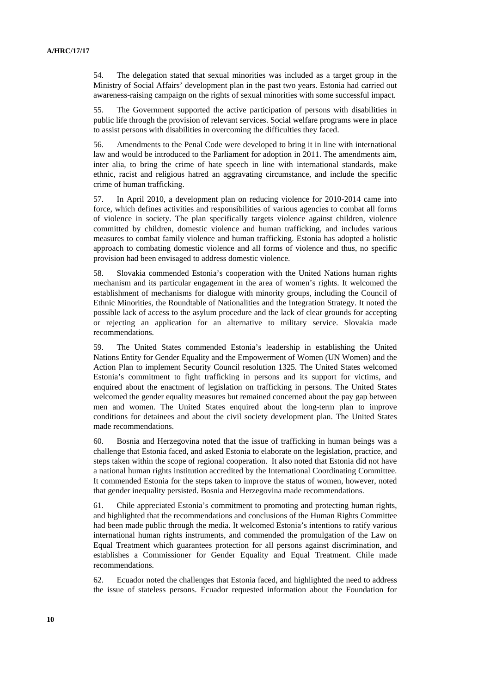54. The delegation stated that sexual minorities was included as a target group in the Ministry of Social Affairs' development plan in the past two years. Estonia had carried out awareness-raising campaign on the rights of sexual minorities with some successful impact.

55. The Government supported the active participation of persons with disabilities in public life through the provision of relevant services. Social welfare programs were in place to assist persons with disabilities in overcoming the difficulties they faced.

56. Amendments to the Penal Code were developed to bring it in line with international law and would be introduced to the Parliament for adoption in 2011. The amendments aim, inter alia, to bring the crime of hate speech in line with international standards, make ethnic, racist and religious hatred an aggravating circumstance, and include the specific crime of human trafficking.

57. In April 2010, a development plan on reducing violence for 2010-2014 came into force, which defines activities and responsibilities of various agencies to combat all forms of violence in society. The plan specifically targets violence against children, violence committed by children, domestic violence and human trafficking, and includes various measures to combat family violence and human trafficking. Estonia has adopted a holistic approach to combating domestic violence and all forms of violence and thus, no specific provision had been envisaged to address domestic violence.

58. Slovakia commended Estonia's cooperation with the United Nations human rights mechanism and its particular engagement in the area of women's rights. It welcomed the establishment of mechanisms for dialogue with minority groups, including the Council of Ethnic Minorities, the Roundtable of Nationalities and the Integration Strategy. It noted the possible lack of access to the asylum procedure and the lack of clear grounds for accepting or rejecting an application for an alternative to military service. Slovakia made recommendations.

59. The United States commended Estonia's leadership in establishing the United Nations Entity for Gender Equality and the Empowerment of Women (UN Women) and the Action Plan to implement Security Council resolution 1325. The United States welcomed Estonia's commitment to fight trafficking in persons and its support for victims, and enquired about the enactment of legislation on trafficking in persons. The United States welcomed the gender equality measures but remained concerned about the pay gap between men and women. The United States enquired about the long-term plan to improve conditions for detainees and about the civil society development plan. The United States made recommendations.

60. Bosnia and Herzegovina noted that the issue of trafficking in human beings was a challenge that Estonia faced, and asked Estonia to elaborate on the legislation, practice, and steps taken within the scope of regional cooperation. It also noted that Estonia did not have a national human rights institution accredited by the International Coordinating Committee. It commended Estonia for the steps taken to improve the status of women, however, noted that gender inequality persisted. Bosnia and Herzegovina made recommendations.

61. Chile appreciated Estonia's commitment to promoting and protecting human rights, and highlighted that the recommendations and conclusions of the Human Rights Committee had been made public through the media. It welcomed Estonia's intentions to ratify various international human rights instruments, and commended the promulgation of the Law on Equal Treatment which guarantees protection for all persons against discrimination, and establishes a Commissioner for Gender Equality and Equal Treatment. Chile made recommendations.

62. Ecuador noted the challenges that Estonia faced, and highlighted the need to address the issue of stateless persons. Ecuador requested information about the Foundation for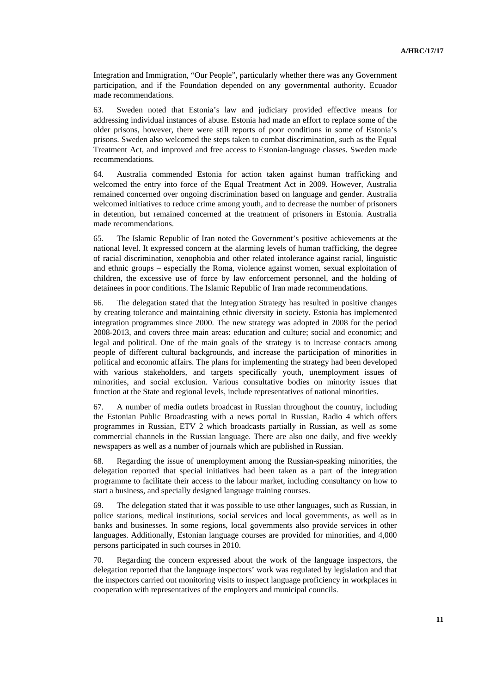Integration and Immigration, "Our People", particularly whether there was any Government participation, and if the Foundation depended on any governmental authority. Ecuador made recommendations.

63. Sweden noted that Estonia's law and judiciary provided effective means for addressing individual instances of abuse. Estonia had made an effort to replace some of the older prisons, however, there were still reports of poor conditions in some of Estonia's prisons. Sweden also welcomed the steps taken to combat discrimination, such as the Equal Treatment Act, and improved and free access to Estonian-language classes. Sweden made recommendations.

64. Australia commended Estonia for action taken against human trafficking and welcomed the entry into force of the Equal Treatment Act in 2009. However, Australia remained concerned over ongoing discrimination based on language and gender. Australia welcomed initiatives to reduce crime among youth, and to decrease the number of prisoners in detention, but remained concerned at the treatment of prisoners in Estonia. Australia made recommendations.

65. The Islamic Republic of Iran noted the Government's positive achievements at the national level. It expressed concern at the alarming levels of human trafficking, the degree of racial discrimination, xenophobia and other related intolerance against racial, linguistic and ethnic groups – especially the Roma, violence against women, sexual exploitation of children, the excessive use of force by law enforcement personnel, and the holding of detainees in poor conditions. The Islamic Republic of Iran made recommendations.

66. The delegation stated that the Integration Strategy has resulted in positive changes by creating tolerance and maintaining ethnic diversity in society. Estonia has implemented integration programmes since 2000. The new strategy was adopted in 2008 for the period 2008-2013, and covers three main areas: education and culture; social and economic; and legal and political. One of the main goals of the strategy is to increase contacts among people of different cultural backgrounds, and increase the participation of minorities in political and economic affairs. The plans for implementing the strategy had been developed with various stakeholders, and targets specifically youth, unemployment issues of minorities, and social exclusion. Various consultative bodies on minority issues that function at the State and regional levels, include representatives of national minorities.

67. A number of media outlets broadcast in Russian throughout the country, including the Estonian Public Broadcasting with a news portal in Russian, Radio 4 which offers programmes in Russian, ETV 2 which broadcasts partially in Russian, as well as some commercial channels in the Russian language. There are also one daily, and five weekly newspapers as well as a number of journals which are published in Russian.

68. Regarding the issue of unemployment among the Russian-speaking minorities, the delegation reported that special initiatives had been taken as a part of the integration programme to facilitate their access to the labour market, including consultancy on how to start a business, and specially designed language training courses.

69. The delegation stated that it was possible to use other languages, such as Russian, in police stations, medical institutions, social services and local governments, as well as in banks and businesses. In some regions, local governments also provide services in other languages. Additionally, Estonian language courses are provided for minorities, and 4,000 persons participated in such courses in 2010.

70. Regarding the concern expressed about the work of the language inspectors, the delegation reported that the language inspectors' work was regulated by legislation and that the inspectors carried out monitoring visits to inspect language proficiency in workplaces in cooperation with representatives of the employers and municipal councils.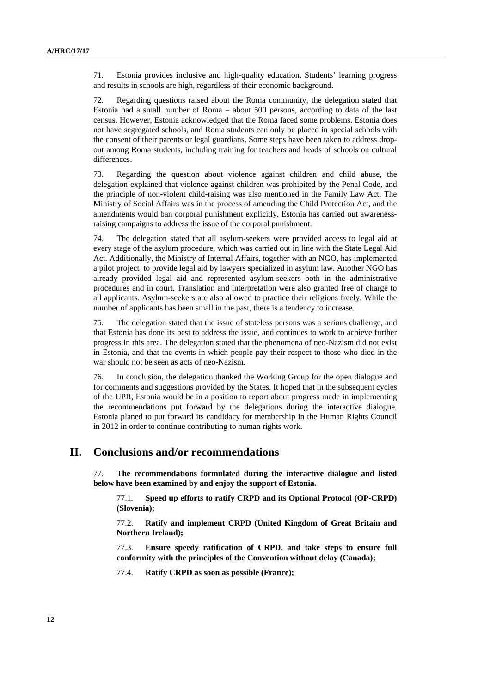71. Estonia provides inclusive and high-quality education. Students' learning progress and results in schools are high, regardless of their economic background.

72. Regarding questions raised about the Roma community, the delegation stated that Estonia had a small number of Roma – about 500 persons, according to data of the last census. However, Estonia acknowledged that the Roma faced some problems. Estonia does not have segregated schools, and Roma students can only be placed in special schools with the consent of their parents or legal guardians. Some steps have been taken to address dropout among Roma students, including training for teachers and heads of schools on cultural differences.

73. Regarding the question about violence against children and child abuse, the delegation explained that violence against children was prohibited by the Penal Code, and the principle of non-violent child-raising was also mentioned in the Family Law Act. The Ministry of Social Affairs was in the process of amending the Child Protection Act, and the amendments would ban corporal punishment explicitly. Estonia has carried out awarenessraising campaigns to address the issue of the corporal punishment.

74. The delegation stated that all asylum-seekers were provided access to legal aid at every stage of the asylum procedure, which was carried out in line with the State Legal Aid Act. Additionally, the Ministry of Internal Affairs, together with an NGO, has implemented a pilot project to provide legal aid by lawyers specialized in asylum law. Another NGO has already provided legal aid and represented asylum-seekers both in the administrative procedures and in court. Translation and interpretation were also granted free of charge to all applicants. Asylum-seekers are also allowed to practice their religions freely. While the number of applicants has been small in the past, there is a tendency to increase.

75. The delegation stated that the issue of stateless persons was a serious challenge, and that Estonia has done its best to address the issue, and continues to work to achieve further progress in this area. The delegation stated that the phenomena of neo-Nazism did not exist in Estonia, and that the events in which people pay their respect to those who died in the war should not be seen as acts of neo-Nazism.

76. In conclusion, the delegation thanked the Working Group for the open dialogue and for comments and suggestions provided by the States. It hoped that in the subsequent cycles of the UPR, Estonia would be in a position to report about progress made in implementing the recommendations put forward by the delegations during the interactive dialogue. Estonia planed to put forward its candidacy for membership in the Human Rights Council in 2012 in order to continue contributing to human rights work.

# **II. Conclusions and/or recommendations**

77. **The recommendations formulated during the interactive dialogue and listed below have been examined by and enjoy the support of Estonia.** 

77.1. **Speed up efforts to ratify CRPD and its Optional Protocol (OP-CRPD) (Slovenia);** 

77.2. **Ratify and implement CRPD (United Kingdom of Great Britain and Northern Ireland);** 

77.3. **Ensure speedy ratification of CRPD, and take steps to ensure full conformity with the principles of the Convention without delay (Canada);** 

77.4. **Ratify CRPD as soon as possible (France);**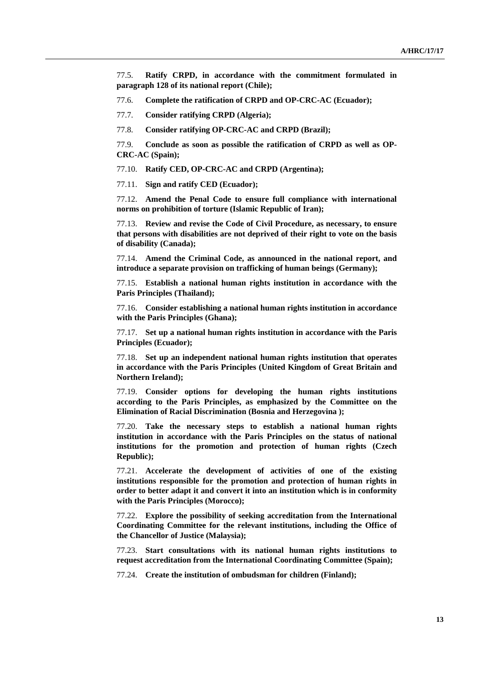77.5. **Ratify CRPD, in accordance with the commitment formulated in paragraph 128 of its national report (Chile);** 

77.6. **Complete the ratification of CRPD and OP-CRC-AC (Ecuador);** 

77.7. **Consider ratifying CRPD (Algeria);** 

77.8. **Consider ratifying OP-CRC-AC and CRPD (Brazil);** 

77.9. **Conclude as soon as possible the ratification of CRPD as well as OP-CRC-AC (Spain);** 

77.10. **Ratify CED, OP-CRC-AC and CRPD (Argentina);** 

77.11. **Sign and ratify CED (Ecuador);** 

77.12. **Amend the Penal Code to ensure full compliance with international norms on prohibition of torture (Islamic Republic of Iran);** 

77.13. **Review and revise the Code of Civil Procedure, as necessary, to ensure that persons with disabilities are not deprived of their right to vote on the basis of disability (Canada);** 

77.14. **Amend the Criminal Code, as announced in the national report, and introduce a separate provision on trafficking of human beings (Germany);** 

77.15. **Establish a national human rights institution in accordance with the Paris Principles (Thailand);** 

77.16. **Consider establishing a national human rights institution in accordance with the Paris Principles (Ghana);** 

77.17. **Set up a national human rights institution in accordance with the Paris Principles (Ecuador);** 

77.18. **Set up an independent national human rights institution that operates in accordance with the Paris Principles (United Kingdom of Great Britain and Northern Ireland);** 

77.19. **Consider options for developing the human rights institutions according to the Paris Principles, as emphasized by the Committee on the Elimination of Racial Discrimination (Bosnia and Herzegovina );** 

77.20. **Take the necessary steps to establish a national human rights institution in accordance with the Paris Principles on the status of national institutions for the promotion and protection of human rights (Czech Republic);** 

77.21. **Accelerate the development of activities of one of the existing institutions responsible for the promotion and protection of human rights in order to better adapt it and convert it into an institution which is in conformity with the Paris Principles (Morocco);** 

77.22. **Explore the possibility of seeking accreditation from the International Coordinating Committee for the relevant institutions, including the Office of the Chancellor of Justice (Malaysia);** 

77.23. **Start consultations with its national human rights institutions to request accreditation from the International Coordinating Committee (Spain);** 

77.24. **Create the institution of ombudsman for children (Finland);**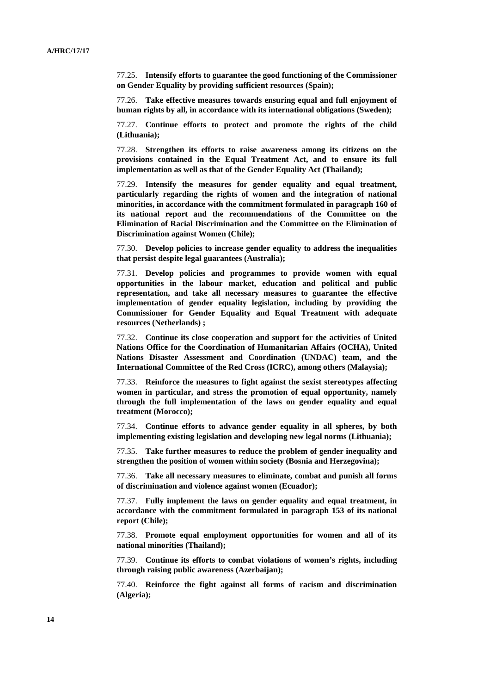77.25. **Intensify efforts to guarantee the good functioning of the Commissioner on Gender Equality by providing sufficient resources (Spain);** 

77.26. **Take effective measures towards ensuring equal and full enjoyment of human rights by all, in accordance with its international obligations (Sweden);** 

77.27. **Continue efforts to protect and promote the rights of the child (Lithuania);** 

77.28. **Strengthen its efforts to raise awareness among its citizens on the provisions contained in the Equal Treatment Act, and to ensure its full implementation as well as that of the Gender Equality Act (Thailand);** 

77.29. **Intensify the measures for gender equality and equal treatment, particularly regarding the rights of women and the integration of national minorities, in accordance with the commitment formulated in paragraph 160 of its national report and the recommendations of the Committee on the Elimination of Racial Discrimination and the Committee on the Elimination of Discrimination against Women (Chile);** 

77.30. **Develop policies to increase gender equality to address the inequalities that persist despite legal guarantees (Australia);** 

77.31. **Develop policies and programmes to provide women with equal opportunities in the labour market, education and political and public representation, and take all necessary measures to guarantee the effective implementation of gender equality legislation, including by providing the Commissioner for Gender Equality and Equal Treatment with adequate resources (Netherlands) ;** 

77.32. **Continue its close cooperation and support for the activities of United Nations Office for the Coordination of Humanitarian Affairs (OCHA), United Nations Disaster Assessment and Coordination (UNDAC) team, and the International Committee of the Red Cross (ICRC), among others (Malaysia);** 

77.33. **Reinforce the measures to fight against the sexist stereotypes affecting women in particular, and stress the promotion of equal opportunity, namely through the full implementation of the laws on gender equality and equal treatment (Morocco);** 

77.34. **Continue efforts to advance gender equality in all spheres, by both implementing existing legislation and developing new legal norms (Lithuania);** 

77.35. **Take further measures to reduce the problem of gender inequality and strengthen the position of women within society (Bosnia and Herzegovina);** 

77.36. **Take all necessary measures to eliminate, combat and punish all forms of discrimination and violence against women (Ecuador);** 

77.37. **Fully implement the laws on gender equality and equal treatment, in accordance with the commitment formulated in paragraph 153 of its national report (Chile);** 

77.38. **Promote equal employment opportunities for women and all of its national minorities (Thailand);** 

77.39. **Continue its efforts to combat violations of women's rights, including through raising public awareness (Azerbaijan);** 

77.40. **Reinforce the fight against all forms of racism and discrimination (Algeria);**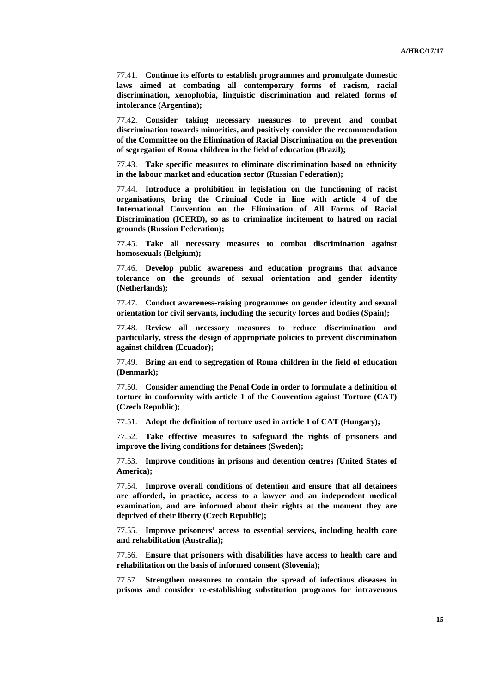77.41. **Continue its efforts to establish programmes and promulgate domestic laws aimed at combating all contemporary forms of racism, racial discrimination, xenophobia, linguistic discrimination and related forms of intolerance (Argentina);** 

77.42. **Consider taking necessary measures to prevent and combat discrimination towards minorities, and positively consider the recommendation of the Committee on the Elimination of Racial Discrimination on the prevention of segregation of Roma children in the field of education (Brazil);** 

77.43. **Take specific measures to eliminate discrimination based on ethnicity in the labour market and education sector (Russian Federation);** 

77.44. **Introduce a prohibition in legislation on the functioning of racist organisations, bring the Criminal Code in line with article 4 of the International Convention on the Elimination of All Forms of Racial Discrimination (ICERD), so as to criminalize incitement to hatred on racial grounds (Russian Federation);** 

77.45. **Take all necessary measures to combat discrimination against homosexuals (Belgium);** 

77.46. **Develop public awareness and education programs that advance tolerance on the grounds of sexual orientation and gender identity (Netherlands);** 

77.47. **Conduct awareness-raising programmes on gender identity and sexual orientation for civil servants, including the security forces and bodies (Spain);** 

77.48. **Review all necessary measures to reduce discrimination and particularly, stress the design of appropriate policies to prevent discrimination against children (Ecuador);** 

77.49. **Bring an end to segregation of Roma children in the field of education (Denmark);** 

77.50. **Consider amending the Penal Code in order to formulate a definition of torture in conformity with article 1 of the Convention against Torture (CAT) (Czech Republic);** 

77.51. **Adopt the definition of torture used in article 1 of CAT (Hungary);** 

77.52. **Take effective measures to safeguard the rights of prisoners and improve the living conditions for detainees (Sweden);** 

77.53. **Improve conditions in prisons and detention centres (United States of America);** 

77.54. **Improve overall conditions of detention and ensure that all detainees are afforded, in practice, access to a lawyer and an independent medical examination, and are informed about their rights at the moment they are deprived of their liberty (Czech Republic);** 

77.55. **Improve prisoners' access to essential services, including health care and rehabilitation (Australia);** 

77.56. **Ensure that prisoners with disabilities have access to health care and rehabilitation on the basis of informed consent (Slovenia);** 

77.57. **Strengthen measures to contain the spread of infectious diseases in prisons and consider re-establishing substitution programs for intravenous**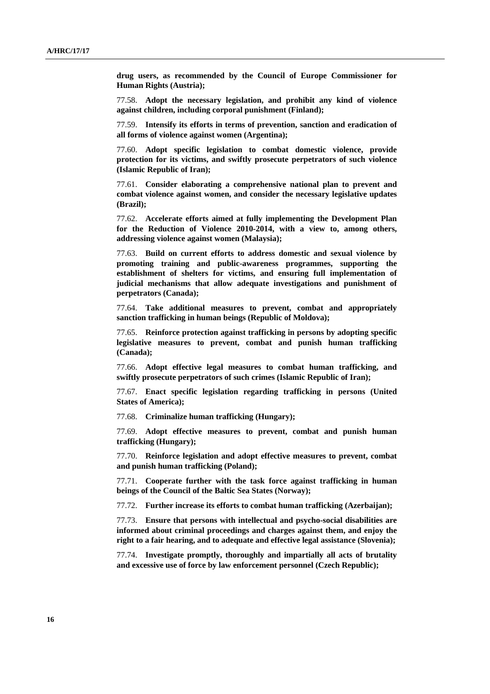**drug users, as recommended by the Council of Europe Commissioner for Human Rights (Austria);** 

77.58. **Adopt the necessary legislation, and prohibit any kind of violence against children, including corporal punishment (Finland);** 

77.59. **Intensify its efforts in terms of prevention, sanction and eradication of all forms of violence against women (Argentina);** 

77.60. **Adopt specific legislation to combat domestic violence, provide protection for its victims, and swiftly prosecute perpetrators of such violence (Islamic Republic of Iran);** 

77.61. **Consider elaborating a comprehensive national plan to prevent and combat violence against women, and consider the necessary legislative updates (Brazil);** 

77.62. **Accelerate efforts aimed at fully implementing the Development Plan for the Reduction of Violence 2010-2014, with a view to, among others, addressing violence against women (Malaysia);** 

77.63. **Build on current efforts to address domestic and sexual violence by promoting training and public-awareness programmes, supporting the establishment of shelters for victims, and ensuring full implementation of judicial mechanisms that allow adequate investigations and punishment of perpetrators (Canada);** 

77.64. **Take additional measures to prevent, combat and appropriately sanction trafficking in human beings (Republic of Moldova);** 

77.65. **Reinforce protection against trafficking in persons by adopting specific legislative measures to prevent, combat and punish human trafficking (Canada);** 

77.66. **Adopt effective legal measures to combat human trafficking, and swiftly prosecute perpetrators of such crimes (Islamic Republic of Iran);** 

77.67. **Enact specific legislation regarding trafficking in persons (United States of America);** 

77.68. **Criminalize human trafficking (Hungary);** 

77.69. **Adopt effective measures to prevent, combat and punish human trafficking (Hungary);** 

77.70. **Reinforce legislation and adopt effective measures to prevent, combat and punish human trafficking (Poland);** 

77.71. **Cooperate further with the task force against trafficking in human beings of the Council of the Baltic Sea States (Norway);** 

77.72. **Further increase its efforts to combat human trafficking (Azerbaijan);** 

77.73. **Ensure that persons with intellectual and psycho-social disabilities are informed about criminal proceedings and charges against them, and enjoy the right to a fair hearing, and to adequate and effective legal assistance (Slovenia);** 

77.74. **Investigate promptly, thoroughly and impartially all acts of brutality and excessive use of force by law enforcement personnel (Czech Republic);**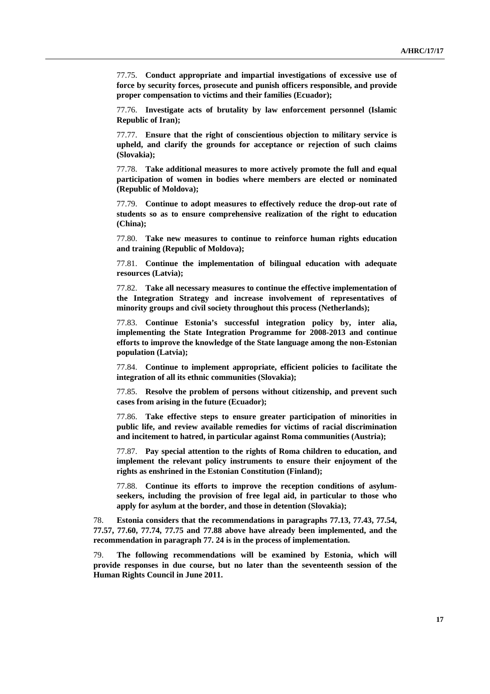77.75. **Conduct appropriate and impartial investigations of excessive use of force by security forces, prosecute and punish officers responsible, and provide proper compensation to victims and their families (Ecuador);** 

77.76. **Investigate acts of brutality by law enforcement personnel (Islamic Republic of Iran);** 

77.77. **Ensure that the right of conscientious objection to military service is upheld, and clarify the grounds for acceptance or rejection of such claims (Slovakia);** 

77.78. **Take additional measures to more actively promote the full and equal participation of women in bodies where members are elected or nominated (Republic of Moldova);** 

77.79. **Continue to adopt measures to effectively reduce the drop-out rate of students so as to ensure comprehensive realization of the right to education (China);** 

77.80. **Take new measures to continue to reinforce human rights education and training (Republic of Moldova);** 

77.81. **Continue the implementation of bilingual education with adequate resources (Latvia);** 

77.82. **Take all necessary measures to continue the effective implementation of the Integration Strategy and increase involvement of representatives of minority groups and civil society throughout this process (Netherlands);** 

77.83. **Continue Estonia's successful integration policy by, inter alia, implementing the State Integration Programme for 2008-2013 and continue efforts to improve the knowledge of the State language among the non-Estonian population (Latvia);** 

77.84. **Continue to implement appropriate, efficient policies to facilitate the integration of all its ethnic communities (Slovakia);** 

77.85. **Resolve the problem of persons without citizenship, and prevent such cases from arising in the future (Ecuador);** 

77.86. **Take effective steps to ensure greater participation of minorities in public life, and review available remedies for victims of racial discrimination and incitement to hatred, in particular against Roma communities (Austria);** 

77.87. **Pay special attention to the rights of Roma children to education, and implement the relevant policy instruments to ensure their enjoyment of the rights as enshrined in the Estonian Constitution (Finland);** 

77.88. **Continue its efforts to improve the reception conditions of asylumseekers, including the provision of free legal aid, in particular to those who apply for asylum at the border, and those in detention (Slovakia);** 

78. **Estonia considers that the recommendations in paragraphs 77.13, 77.43, 77.54, 77.57, 77.60, 77.74, 77.75 and 77.88 above have already been implemented, and the recommendation in paragraph 77. 24 is in the process of implementation.** 

79. **The following recommendations will be examined by Estonia, which will provide responses in due course, but no later than the seventeenth session of the Human Rights Council in June 2011.**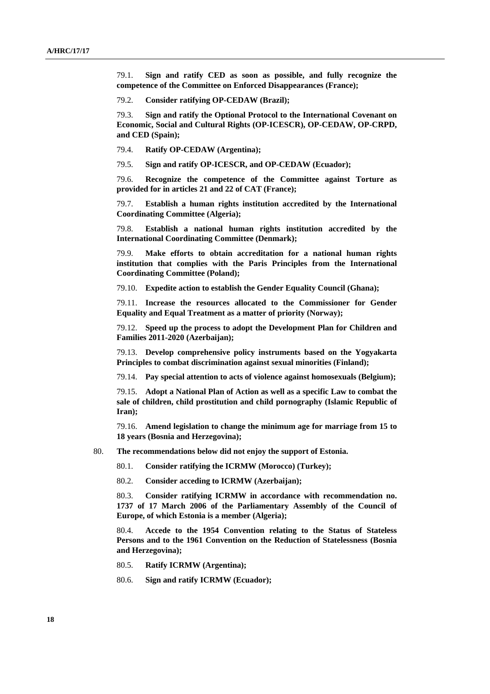79.1. **Sign and ratify CED as soon as possible, and fully recognize the competence of the Committee on Enforced Disappearances (France);** 

79.2. **Consider ratifying OP-CEDAW (Brazil);** 

79.3. **Sign and ratify the Optional Protocol to the International Covenant on Economic, Social and Cultural Rights (OP-ICESCR), OP-CEDAW, OP-CRPD, and CED (Spain);** 

79.4. **Ratify OP-CEDAW (Argentina);** 

79.5. **Sign and ratify OP-ICESCR, and OP-CEDAW (Ecuador);** 

79.6. **Recognize the competence of the Committee against Torture as provided for in articles 21 and 22 of CAT (France);** 

79.7. **Establish a human rights institution accredited by the International Coordinating Committee (Algeria);** 

79.8. **Establish a national human rights institution accredited by the International Coordinating Committee (Denmark);** 

79.9. **Make efforts to obtain accreditation for a national human rights institution that complies with the Paris Principles from the International Coordinating Committee (Poland);** 

79.10. **Expedite action to establish the Gender Equality Council (Ghana);** 

79.11. **Increase the resources allocated to the Commissioner for Gender Equality and Equal Treatment as a matter of priority (Norway);** 

79.12. **Speed up the process to adopt the Development Plan for Children and Families 2011-2020 (Azerbaijan);** 

79.13. **Develop comprehensive policy instruments based on the Yogyakarta Principles to combat discrimination against sexual minorities (Finland);** 

79.14. **Pay special attention to acts of violence against homosexuals (Belgium);** 

79.15. **Adopt a National Plan of Action as well as a specific Law to combat the sale of children, child prostitution and child pornography (Islamic Republic of Iran);** 

79.16. **Amend legislation to change the minimum age for marriage from 15 to 18 years (Bosnia and Herzegovina);** 

80. **The recommendations below did not enjoy the support of Estonia.** 

80.1. **Consider ratifying the ICRMW (Morocco) (Turkey);** 

80.2. **Consider acceding to ICRMW (Azerbaijan);** 

80.3. **Consider ratifying ICRMW in accordance with recommendation no. 1737 of 17 March 2006 of the Parliamentary Assembly of the Council of Europe, of which Estonia is a member (Algeria);** 

80.4. **Accede to the 1954 Convention relating to the Status of Stateless Persons and to the 1961 Convention on the Reduction of Statelessness (Bosnia and Herzegovina);** 

- 80.5. **Ratify ICRMW (Argentina);**
- 80.6. **Sign and ratify ICRMW (Ecuador);**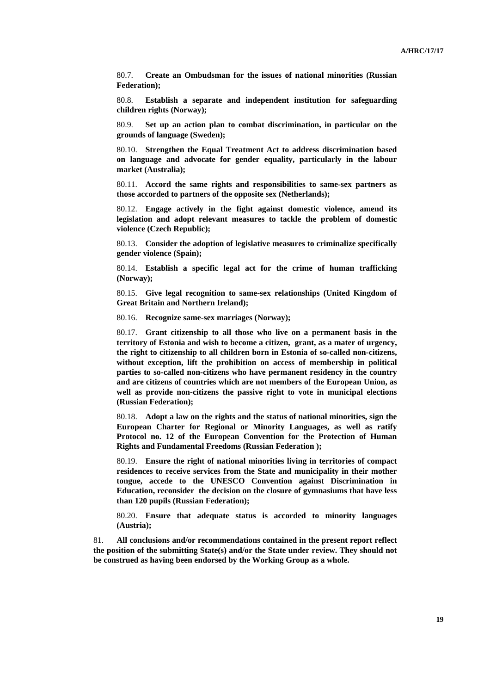80.7. **Create an Ombudsman for the issues of national minorities (Russian Federation);** 

80.8. **Establish a separate and independent institution for safeguarding children rights (Norway);** 

80.9. **Set up an action plan to combat discrimination, in particular on the grounds of language (Sweden);** 

80.10. **Strengthen the Equal Treatment Act to address discrimination based on language and advocate for gender equality, particularly in the labour market (Australia);** 

80.11. **Accord the same rights and responsibilities to same-sex partners as those accorded to partners of the opposite sex (Netherlands);** 

80.12. **Engage actively in the fight against domestic violence, amend its legislation and adopt relevant measures to tackle the problem of domestic violence (Czech Republic);** 

80.13. **Consider the adoption of legislative measures to criminalize specifically gender violence (Spain);** 

80.14. **Establish a specific legal act for the crime of human trafficking (Norway);** 

80.15. **Give legal recognition to same-sex relationships (United Kingdom of Great Britain and Northern Ireland);** 

80.16. **Recognize same-sex marriages (Norway);** 

80.17. **Grant citizenship to all those who live on a permanent basis in the territory of Estonia and wish to become a citizen, grant, as a mater of urgency, the right to citizenship to all children born in Estonia of so-called non-citizens, without exception, lift the prohibition on access of membership in political parties to so-called non-citizens who have permanent residency in the country and are citizens of countries which are not members of the European Union, as well as provide non-citizens the passive right to vote in municipal elections (Russian Federation);** 

80.18. **Adopt a law on the rights and the status of national minorities, sign the European Charter for Regional or Minority Languages, as well as ratify Protocol no. 12 of the European Convention for the Protection of Human Rights and Fundamental Freedoms (Russian Federation );** 

80.19. **Ensure the right of national minorities living in territories of compact residences to receive services from the State and municipality in their mother tongue, accede to the UNESCO Convention against Discrimination in Education, reconsider the decision on the closure of gymnasiums that have less than 120 pupils (Russian Federation);** 

80.20. **Ensure that adequate status is accorded to minority languages (Austria);** 

81. **All conclusions and/or recommendations contained in the present report reflect the position of the submitting State(s) and/or the State under review. They should not be construed as having been endorsed by the Working Group as a whole.**